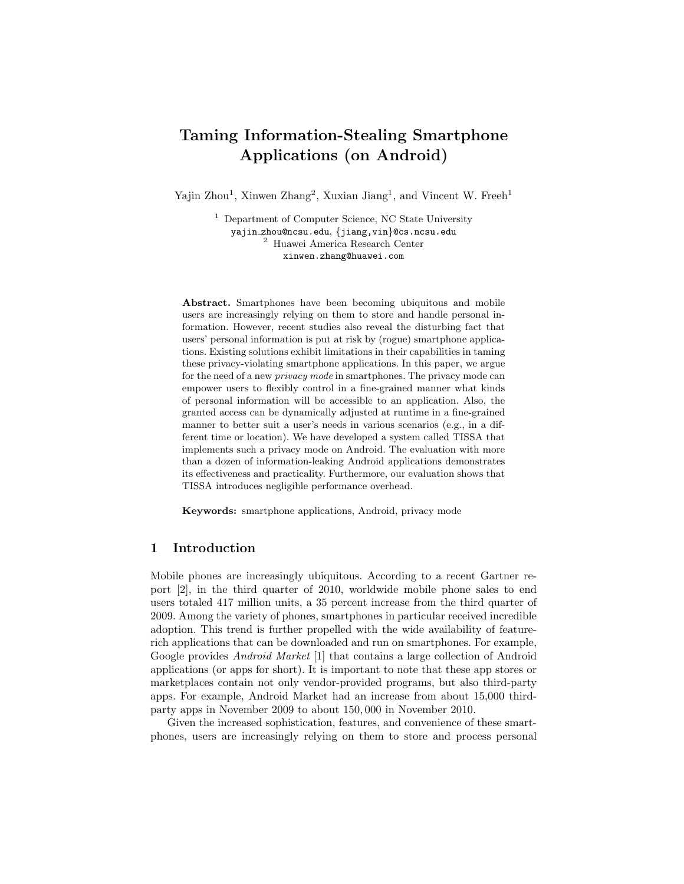# Taming Information-Stealing Smartphone Applications (on Android)

Yajin Zhou<sup>1</sup>, Xinwen Zhang<sup>2</sup>, Xuxian Jiang<sup>1</sup>, and Vincent W. Freeh<sup>1</sup>

<sup>1</sup> Department of Computer Science, NC State University yajin zhou@ncsu.edu, {jiang,vin}@cs.ncsu.edu <sup>2</sup> Huawei America Research Center xinwen.zhang@huawei.com

Abstract. Smartphones have been becoming ubiquitous and mobile users are increasingly relying on them to store and handle personal information. However, recent studies also reveal the disturbing fact that users' personal information is put at risk by (rogue) smartphone applications. Existing solutions exhibit limitations in their capabilities in taming these privacy-violating smartphone applications. In this paper, we argue for the need of a new privacy mode in smartphones. The privacy mode can empower users to flexibly control in a fine-grained manner what kinds of personal information will be accessible to an application. Also, the granted access can be dynamically adjusted at runtime in a fine-grained manner to better suit a user's needs in various scenarios (e.g., in a different time or location). We have developed a system called TISSA that implements such a privacy mode on Android. The evaluation with more than a dozen of information-leaking Android applications demonstrates its effectiveness and practicality. Furthermore, our evaluation shows that TISSA introduces negligible performance overhead.

Keywords: smartphone applications, Android, privacy mode

#### 1 Introduction

Mobile phones are increasingly ubiquitous. According to a recent Gartner report [2], in the third quarter of 2010, worldwide mobile phone sales to end users totaled 417 million units, a 35 percent increase from the third quarter of 2009. Among the variety of phones, smartphones in particular received incredible adoption. This trend is further propelled with the wide availability of featurerich applications that can be downloaded and run on smartphones. For example, Google provides Android Market [1] that contains a large collection of Android applications (or apps for short). It is important to note that these app stores or marketplaces contain not only vendor-provided programs, but also third-party apps. For example, Android Market had an increase from about 15,000 thirdparty apps in November 2009 to about 150, 000 in November 2010.

Given the increased sophistication, features, and convenience of these smartphones, users are increasingly relying on them to store and process personal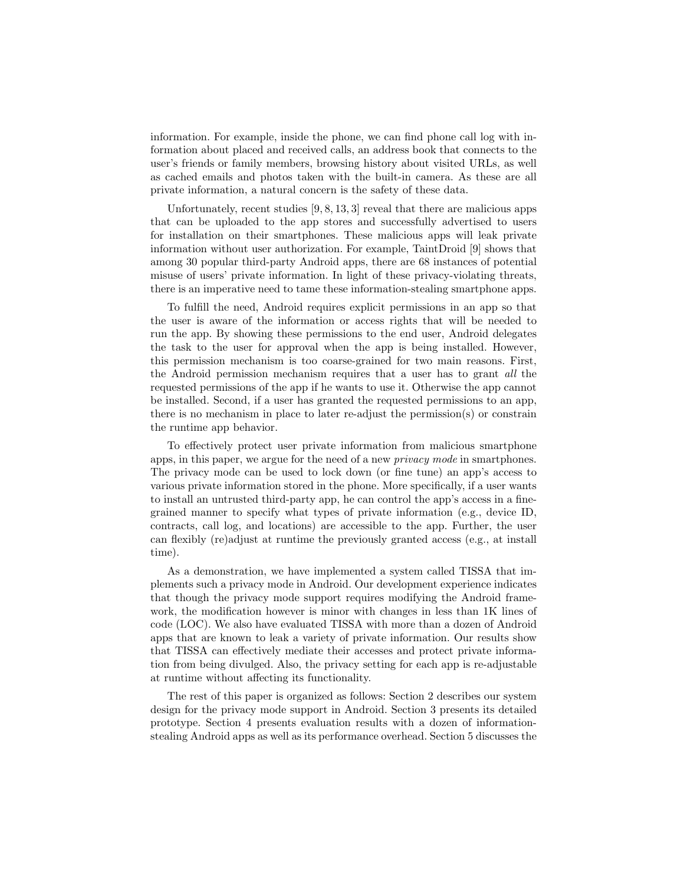information. For example, inside the phone, we can find phone call log with information about placed and received calls, an address book that connects to the user's friends or family members, browsing history about visited URLs, as well as cached emails and photos taken with the built-in camera. As these are all private information, a natural concern is the safety of these data.

Unfortunately, recent studies [9, 8, 13, 3] reveal that there are malicious apps that can be uploaded to the app stores and successfully advertised to users for installation on their smartphones. These malicious apps will leak private information without user authorization. For example, TaintDroid [9] shows that among 30 popular third-party Android apps, there are 68 instances of potential misuse of users' private information. In light of these privacy-violating threats, there is an imperative need to tame these information-stealing smartphone apps.

To fulfill the need, Android requires explicit permissions in an app so that the user is aware of the information or access rights that will be needed to run the app. By showing these permissions to the end user, Android delegates the task to the user for approval when the app is being installed. However, this permission mechanism is too coarse-grained for two main reasons. First, the Android permission mechanism requires that a user has to grant all the requested permissions of the app if he wants to use it. Otherwise the app cannot be installed. Second, if a user has granted the requested permissions to an app, there is no mechanism in place to later re-adjust the permission(s) or constrain the runtime app behavior.

To effectively protect user private information from malicious smartphone apps, in this paper, we argue for the need of a new privacy mode in smartphones. The privacy mode can be used to lock down (or fine tune) an app's access to various private information stored in the phone. More specifically, if a user wants to install an untrusted third-party app, he can control the app's access in a finegrained manner to specify what types of private information (e.g., device ID, contracts, call log, and locations) are accessible to the app. Further, the user can flexibly (re)adjust at runtime the previously granted access (e.g., at install time).

As a demonstration, we have implemented a system called TISSA that implements such a privacy mode in Android. Our development experience indicates that though the privacy mode support requires modifying the Android framework, the modification however is minor with changes in less than 1K lines of code (LOC). We also have evaluated TISSA with more than a dozen of Android apps that are known to leak a variety of private information. Our results show that TISSA can effectively mediate their accesses and protect private information from being divulged. Also, the privacy setting for each app is re-adjustable at runtime without affecting its functionality.

The rest of this paper is organized as follows: Section 2 describes our system design for the privacy mode support in Android. Section 3 presents its detailed prototype. Section 4 presents evaluation results with a dozen of informationstealing Android apps as well as its performance overhead. Section 5 discusses the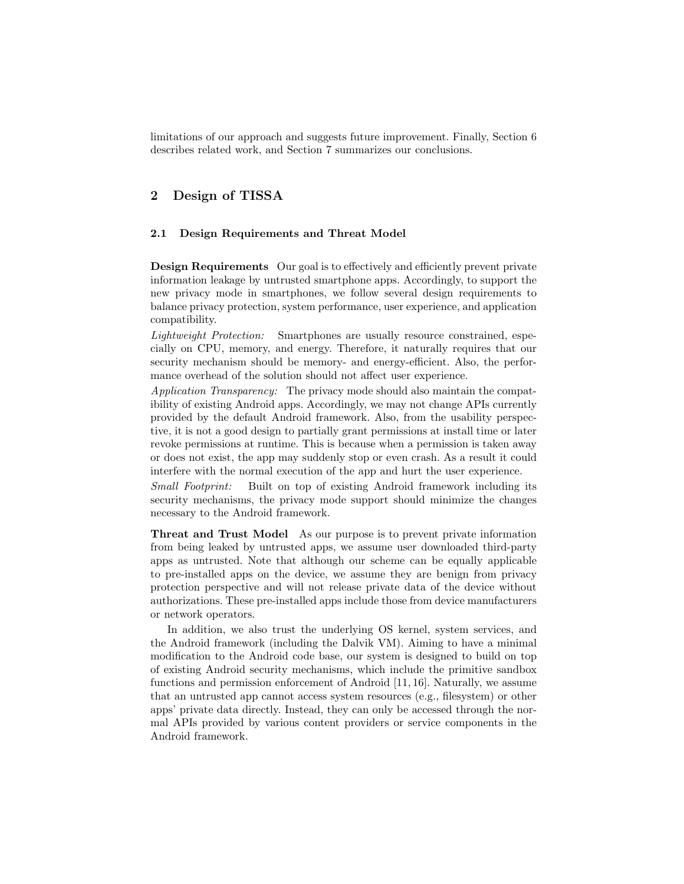limitations of our approach and suggests future improvement. Finally, Section 6 describes related work, and Section 7 summarizes our conclusions.

## 2 Design of TISSA

#### 2.1 Design Requirements and Threat Model

Design Requirements Our goal is to effectively and efficiently prevent private information leakage by untrusted smartphone apps. Accordingly, to support the new privacy mode in smartphones, we follow several design requirements to balance privacy protection, system performance, user experience, and application compatibility.

Lightweight Protection: Smartphones are usually resource constrained, especially on CPU, memory, and energy. Therefore, it naturally requires that our security mechanism should be memory- and energy-efficient. Also, the performance overhead of the solution should not affect user experience.

Application Transparency: The privacy mode should also maintain the compatibility of existing Android apps. Accordingly, we may not change APIs currently provided by the default Android framework. Also, from the usability perspective, it is not a good design to partially grant permissions at install time or later revoke permissions at runtime. This is because when a permission is taken away or does not exist, the app may suddenly stop or even crash. As a result it could interfere with the normal execution of the app and hurt the user experience.

Small Footprint: Built on top of existing Android framework including its security mechanisms, the privacy mode support should minimize the changes necessary to the Android framework.

Threat and Trust Model As our purpose is to prevent private information from being leaked by untrusted apps, we assume user downloaded third-party apps as untrusted. Note that although our scheme can be equally applicable to pre-installed apps on the device, we assume they are benign from privacy protection perspective and will not release private data of the device without authorizations. These pre-installed apps include those from device manufacturers or network operators.

In addition, we also trust the underlying OS kernel, system services, and the Android framework (including the Dalvik VM). Aiming to have a minimal modification to the Android code base, our system is designed to build on top of existing Android security mechanisms, which include the primitive sandbox functions and permission enforcement of Android [11, 16]. Naturally, we assume that an untrusted app cannot access system resources (e.g., filesystem) or other apps' private data directly. Instead, they can only be accessed through the normal APIs provided by various content providers or service components in the Android framework.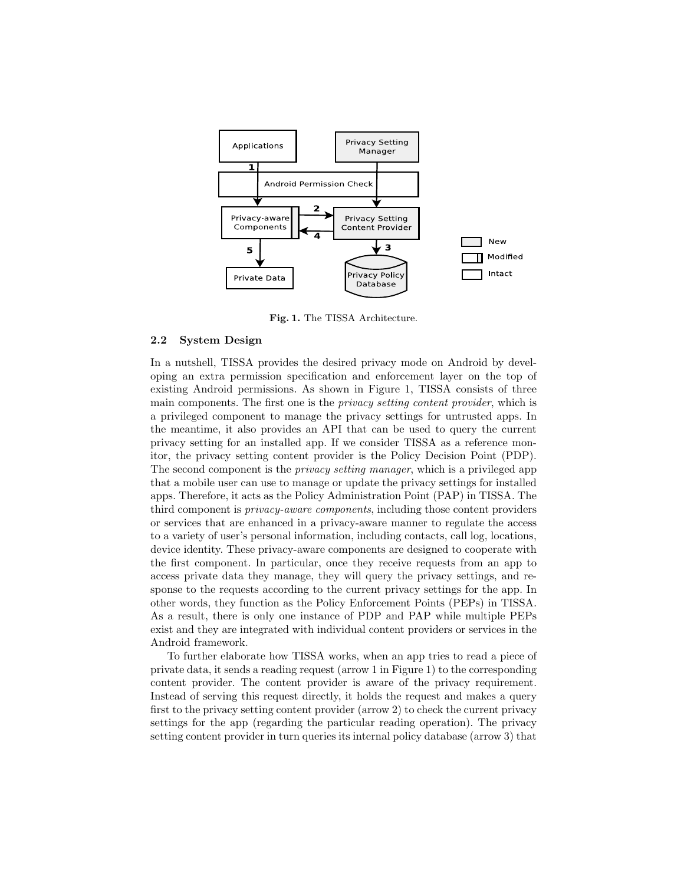

Fig. 1. The TISSA Architecture.

## 2.2 System Design

In a nutshell, TISSA provides the desired privacy mode on Android by developing an extra permission specification and enforcement layer on the top of existing Android permissions. As shown in Figure 1, TISSA consists of three main components. The first one is the privacy setting content provider, which is a privileged component to manage the privacy settings for untrusted apps. In the meantime, it also provides an API that can be used to query the current privacy setting for an installed app. If we consider TISSA as a reference monitor, the privacy setting content provider is the Policy Decision Point (PDP). The second component is the *privacy setting manager*, which is a privileged app that a mobile user can use to manage or update the privacy settings for installed apps. Therefore, it acts as the Policy Administration Point (PAP) in TISSA. The third component is privacy-aware components, including those content providers or services that are enhanced in a privacy-aware manner to regulate the access to a variety of user's personal information, including contacts, call log, locations, device identity. These privacy-aware components are designed to cooperate with the first component. In particular, once they receive requests from an app to access private data they manage, they will query the privacy settings, and response to the requests according to the current privacy settings for the app. In other words, they function as the Policy Enforcement Points (PEPs) in TISSA. As a result, there is only one instance of PDP and PAP while multiple PEPs exist and they are integrated with individual content providers or services in the Android framework.

To further elaborate how TISSA works, when an app tries to read a piece of private data, it sends a reading request (arrow 1 in Figure 1) to the corresponding content provider. The content provider is aware of the privacy requirement. Instead of serving this request directly, it holds the request and makes a query first to the privacy setting content provider (arrow 2) to check the current privacy settings for the app (regarding the particular reading operation). The privacy setting content provider in turn queries its internal policy database (arrow 3) that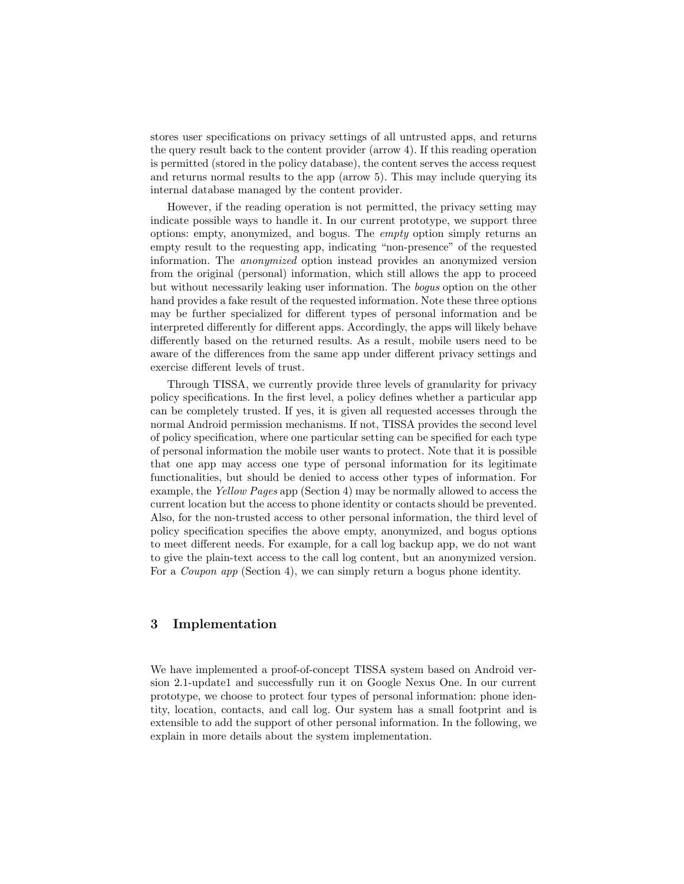stores user specifications on privacy settings of all untrusted apps, and returns the query result back to the content provider (arrow 4). If this reading operation is permitted (stored in the policy database), the content serves the access request and returns normal results to the app (arrow 5). This may include querying its internal database managed by the content provider.

However, if the reading operation is not permitted, the privacy setting may indicate possible ways to handle it. In our current prototype, we support three options: empty, anonymized, and bogus. The empty option simply returns an empty result to the requesting app, indicating "non-presence" of the requested information. The anonymized option instead provides an anonymized version from the original (personal) information, which still allows the app to proceed but without necessarily leaking user information. The bogus option on the other hand provides a fake result of the requested information. Note these three options may be further specialized for different types of personal information and be interpreted differently for different apps. Accordingly, the apps will likely behave differently based on the returned results. As a result, mobile users need to be aware of the differences from the same app under different privacy settings and exercise different levels of trust.

Through TISSA, we currently provide three levels of granularity for privacy policy specifications. In the first level, a policy defines whether a particular app can be completely trusted. If yes, it is given all requested accesses through the normal Android permission mechanisms. If not, TISSA provides the second level of policy specification, where one particular setting can be specified for each type of personal information the mobile user wants to protect. Note that it is possible that one app may access one type of personal information for its legitimate functionalities, but should be denied to access other types of information. For example, the Yellow Pages app (Section 4) may be normally allowed to access the current location but the access to phone identity or contacts should be prevented. Also, for the non-trusted access to other personal information, the third level of policy specification specifies the above empty, anonymized, and bogus options to meet different needs. For example, for a call log backup app, we do not want to give the plain-text access to the call log content, but an anonymized version. For a Coupon app (Section 4), we can simply return a bogus phone identity.

## 3 Implementation

We have implemented a proof-of-concept TISSA system based on Android version 2.1-update1 and successfully run it on Google Nexus One. In our current prototype, we choose to protect four types of personal information: phone identity, location, contacts, and call log. Our system has a small footprint and is extensible to add the support of other personal information. In the following, we explain in more details about the system implementation.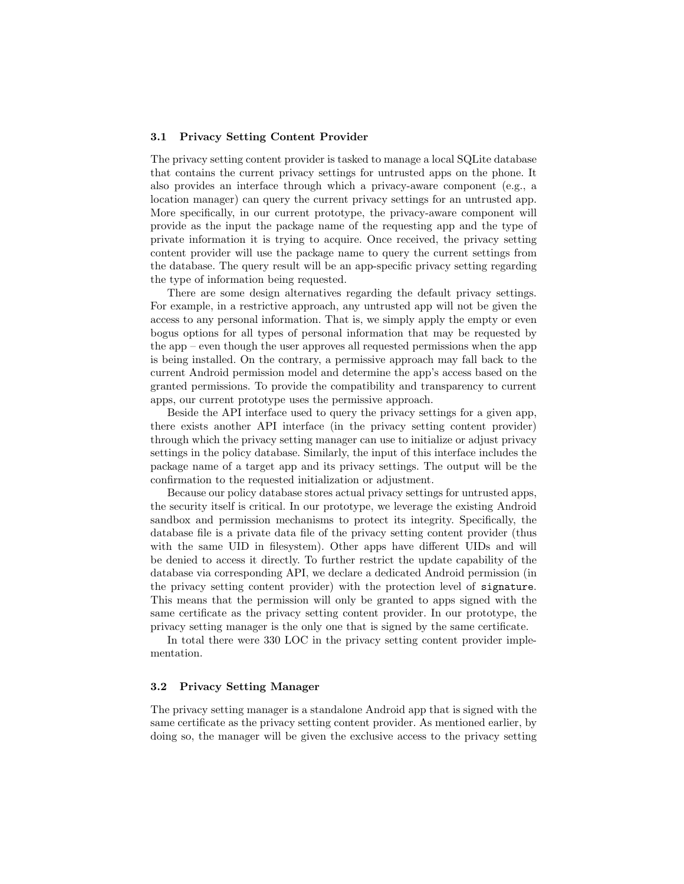#### 3.1 Privacy Setting Content Provider

The privacy setting content provider is tasked to manage a local SQLite database that contains the current privacy settings for untrusted apps on the phone. It also provides an interface through which a privacy-aware component (e.g., a location manager) can query the current privacy settings for an untrusted app. More specifically, in our current prototype, the privacy-aware component will provide as the input the package name of the requesting app and the type of private information it is trying to acquire. Once received, the privacy setting content provider will use the package name to query the current settings from the database. The query result will be an app-specific privacy setting regarding the type of information being requested.

There are some design alternatives regarding the default privacy settings. For example, in a restrictive approach, any untrusted app will not be given the access to any personal information. That is, we simply apply the empty or even bogus options for all types of personal information that may be requested by the app – even though the user approves all requested permissions when the app is being installed. On the contrary, a permissive approach may fall back to the current Android permission model and determine the app's access based on the granted permissions. To provide the compatibility and transparency to current apps, our current prototype uses the permissive approach.

Beside the API interface used to query the privacy settings for a given app, there exists another API interface (in the privacy setting content provider) through which the privacy setting manager can use to initialize or adjust privacy settings in the policy database. Similarly, the input of this interface includes the package name of a target app and its privacy settings. The output will be the confirmation to the requested initialization or adjustment.

Because our policy database stores actual privacy settings for untrusted apps, the security itself is critical. In our prototype, we leverage the existing Android sandbox and permission mechanisms to protect its integrity. Specifically, the database file is a private data file of the privacy setting content provider (thus with the same UID in filesystem). Other apps have different UIDs and will be denied to access it directly. To further restrict the update capability of the database via corresponding API, we declare a dedicated Android permission (in the privacy setting content provider) with the protection level of signature. This means that the permission will only be granted to apps signed with the same certificate as the privacy setting content provider. In our prototype, the privacy setting manager is the only one that is signed by the same certificate.

In total there were 330 LOC in the privacy setting content provider implementation.

#### 3.2 Privacy Setting Manager

The privacy setting manager is a standalone Android app that is signed with the same certificate as the privacy setting content provider. As mentioned earlier, by doing so, the manager will be given the exclusive access to the privacy setting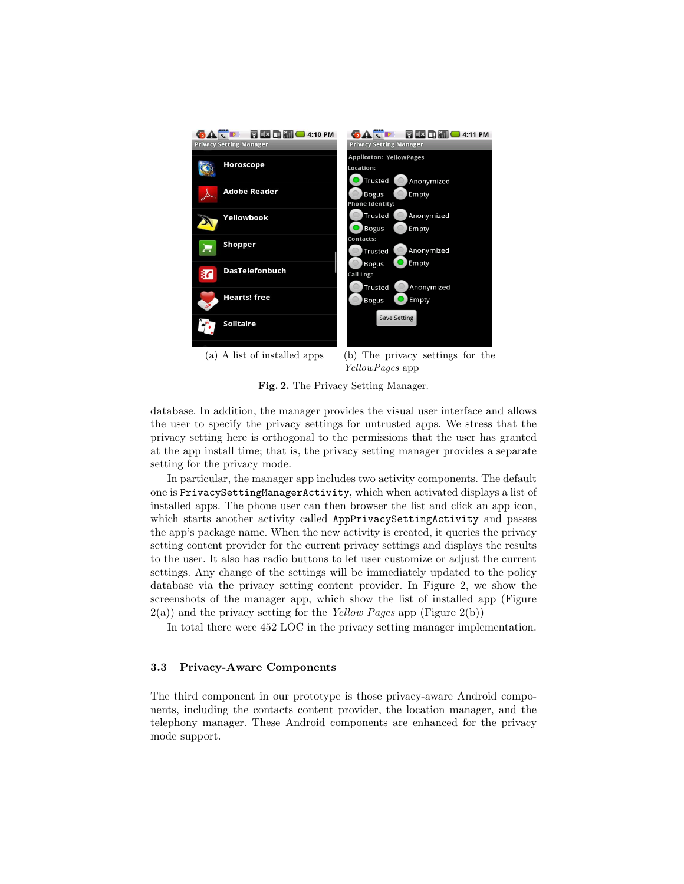

YellowPages app

Fig. 2. The Privacy Setting Manager.

database. In addition, the manager provides the visual user interface and allows the user to specify the privacy settings for untrusted apps. We stress that the privacy setting here is orthogonal to the permissions that the user has granted at the app install time; that is, the privacy setting manager provides a separate setting for the privacy mode.

In particular, the manager app includes two activity components. The default one is PrivacySettingManagerActivity, which when activated displays a list of installed apps. The phone user can then browser the list and click an app icon, which starts another activity called AppPrivacySettingActivity and passes the app's package name. When the new activity is created, it queries the privacy setting content provider for the current privacy settings and displays the results to the user. It also has radio buttons to let user customize or adjust the current settings. Any change of the settings will be immediately updated to the policy database via the privacy setting content provider. In Figure 2, we show the screenshots of the manager app, which show the list of installed app (Figure  $2(a)$ ) and the privacy setting for the *Yellow Pages* app (Figure  $2(b)$ )

In total there were 452 LOC in the privacy setting manager implementation.

#### 3.3 Privacy-Aware Components

The third component in our prototype is those privacy-aware Android components, including the contacts content provider, the location manager, and the telephony manager. These Android components are enhanced for the privacy mode support.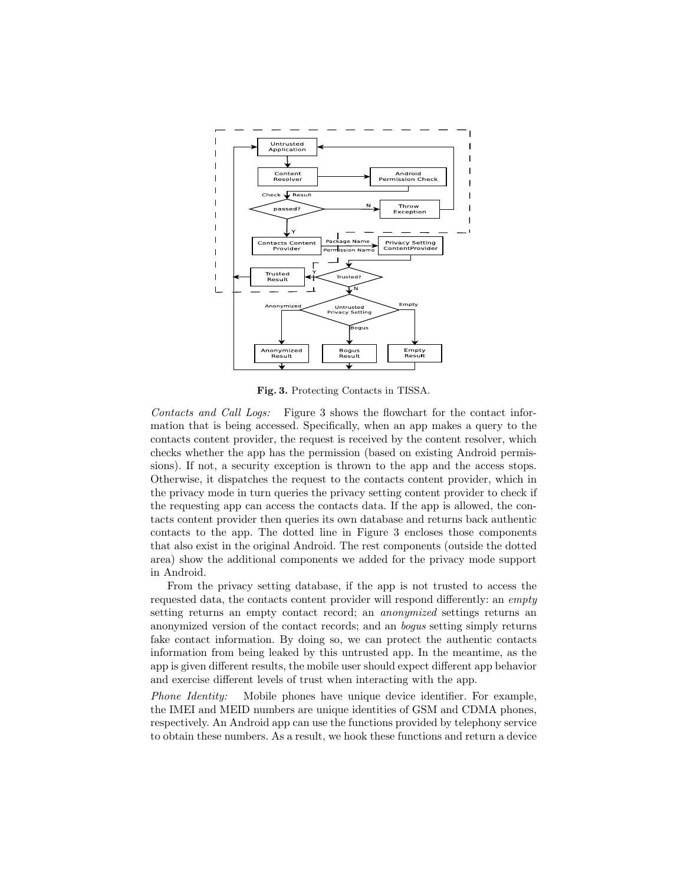

Fig. 3. Protecting Contacts in TISSA.

Contacts and Call Logs: Figure 3 shows the flowchart for the contact information that is being accessed. Specifically, when an app makes a query to the contacts content provider, the request is received by the content resolver, which checks whether the app has the permission (based on existing Android permissions). If not, a security exception is thrown to the app and the access stops. Otherwise, it dispatches the request to the contacts content provider, which in the privacy mode in turn queries the privacy setting content provider to check if the requesting app can access the contacts data. If the app is allowed, the contacts content provider then queries its own database and returns back authentic contacts to the app. The dotted line in Figure 3 encloses those components that also exist in the original Android. The rest components (outside the dotted area) show the additional components we added for the privacy mode support in Android.

From the privacy setting database, if the app is not trusted to access the requested data, the contacts content provider will respond differently: an empty setting returns an empty contact record; an anonymized settings returns an anonymized version of the contact records; and an bogus setting simply returns fake contact information. By doing so, we can protect the authentic contacts information from being leaked by this untrusted app. In the meantime, as the app is given different results, the mobile user should expect different app behavior and exercise different levels of trust when interacting with the app.

Phone Identity: Mobile phones have unique device identifier. For example, the IMEI and MEID numbers are unique identities of GSM and CDMA phones, respectively. An Android app can use the functions provided by telephony service to obtain these numbers. As a result, we hook these functions and return a device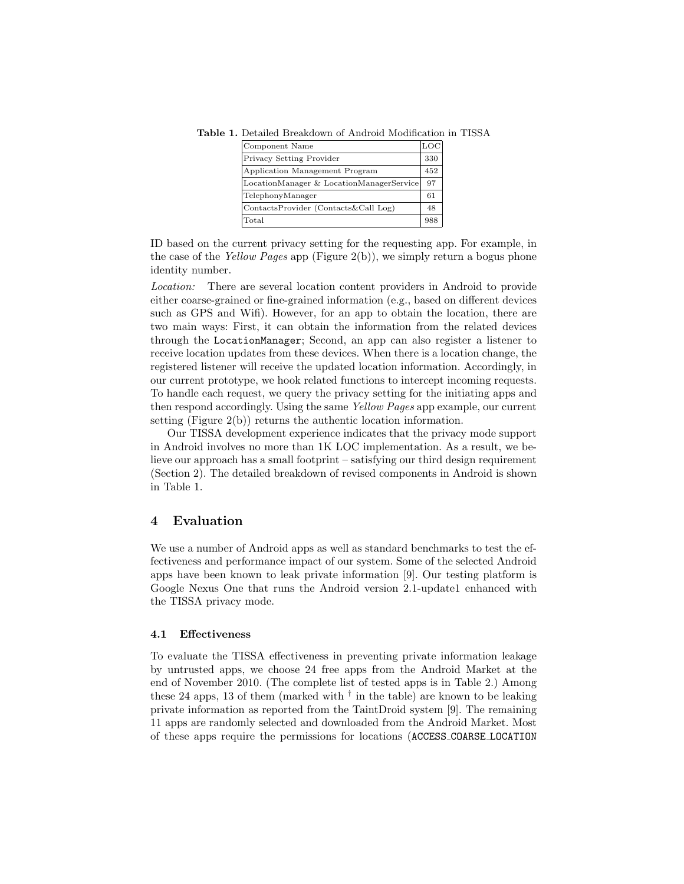Table 1. Detailed Breakdown of Android Modification in TISSA

| Component Name                           | <b>LOCI</b> |
|------------------------------------------|-------------|
| Privacy Setting Provider                 | 330         |
| Application Management Program           | 452         |
| LocationManager & LocationManagerService | 97          |
| TelephonyManager                         | 61          |
| ContactsProvider (Contacts&Call Log)     | 48          |
| Total                                    | 988         |

ID based on the current privacy setting for the requesting app. For example, in the case of the Yellow Pages app (Figure 2(b)), we simply return a bogus phone identity number.

Location: There are several location content providers in Android to provide either coarse-grained or fine-grained information (e.g., based on different devices such as GPS and Wifi). However, for an app to obtain the location, there are two main ways: First, it can obtain the information from the related devices through the LocationManager; Second, an app can also register a listener to receive location updates from these devices. When there is a location change, the registered listener will receive the updated location information. Accordingly, in our current prototype, we hook related functions to intercept incoming requests. To handle each request, we query the privacy setting for the initiating apps and then respond accordingly. Using the same Yellow Pages app example, our current setting (Figure 2(b)) returns the authentic location information.

Our TISSA development experience indicates that the privacy mode support in Android involves no more than 1K LOC implementation. As a result, we believe our approach has a small footprint – satisfying our third design requirement (Section 2). The detailed breakdown of revised components in Android is shown in Table 1.

## 4 Evaluation

We use a number of Android apps as well as standard benchmarks to test the effectiveness and performance impact of our system. Some of the selected Android apps have been known to leak private information [9]. Our testing platform is Google Nexus One that runs the Android version 2.1-update1 enhanced with the TISSA privacy mode.

#### 4.1 Effectiveness

To evaluate the TISSA effectiveness in preventing private information leakage by untrusted apps, we choose 24 free apps from the Android Market at the end of November 2010. (The complete list of tested apps is in Table 2.) Among these 24 apps, 13 of them (marked with  $\dagger$  in the table) are known to be leaking private information as reported from the TaintDroid system [9]. The remaining 11 apps are randomly selected and downloaded from the Android Market. Most of these apps require the permissions for locations (ACCESS COARSE LOCATION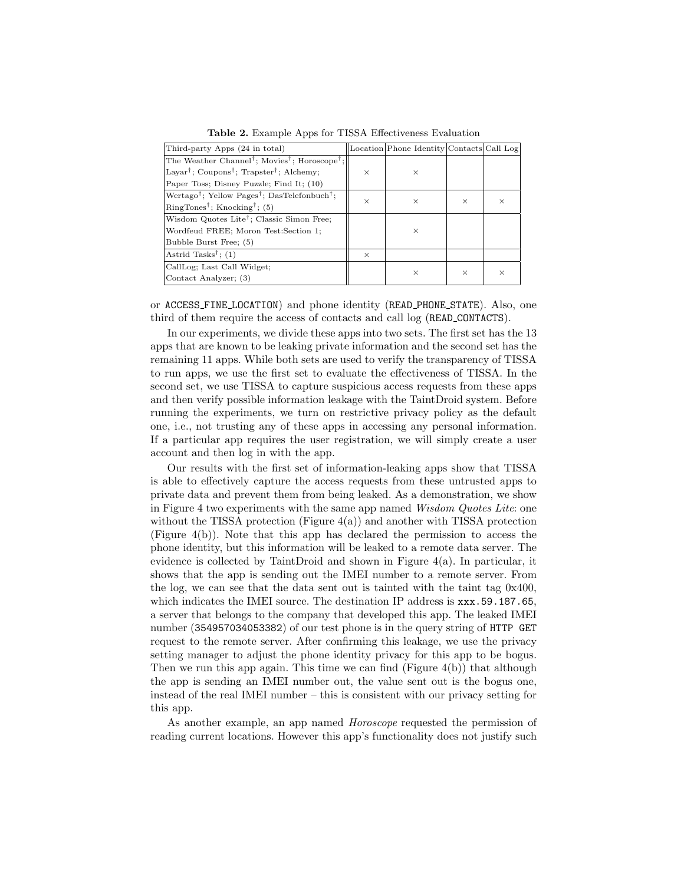| Third-party Apps (24 in total)                                                    |          | Location Phone Identity Contacts Call Log |          |  |
|-----------------------------------------------------------------------------------|----------|-------------------------------------------|----------|--|
| The Weather Channel <sup>†</sup> ; Movies <sup>†</sup> ; Horoscope <sup>†</sup> ; |          |                                           |          |  |
| Layar <sup>†</sup> ; Coupons <sup>†</sup> ; Trapster <sup>†</sup> ; Alchemy;      | $\times$ | $\times$                                  |          |  |
| Paper Toss; Disney Puzzle; Find It; (10)                                          |          |                                           |          |  |
| Wertago <sup>†</sup> ; Yellow Pages <sup>†</sup> ; DasTelefonbuch <sup>†</sup> ;  | $\times$ | $\times$                                  | $\times$ |  |
| $RingTones^{\dagger}$ ; Knocking <sup>†</sup> ; (5)                               |          |                                           |          |  |
| Wisdom Quotes Lite <sup>†</sup> ; Classic Simon Free;                             |          |                                           |          |  |
| Wordfeud FREE; Moron Test: Section 1;                                             |          | $\times$                                  |          |  |
| Bubble Burst Free; (5)                                                            |          |                                           |          |  |
| Astrid Tasks <sup>†</sup> ; $(1)$                                                 | $\times$ |                                           |          |  |
| CallLog; Last Call Widget;                                                        |          | ×                                         | $\times$ |  |
| Contact Analyzer; (3)                                                             |          |                                           |          |  |

Table 2. Example Apps for TISSA Effectiveness Evaluation

or ACCESS FINE LOCATION) and phone identity (READ PHONE STATE). Also, one third of them require the access of contacts and call log (READ CONTACTS).

In our experiments, we divide these apps into two sets. The first set has the 13 apps that are known to be leaking private information and the second set has the remaining 11 apps. While both sets are used to verify the transparency of TISSA to run apps, we use the first set to evaluate the effectiveness of TISSA. In the second set, we use TISSA to capture suspicious access requests from these apps and then verify possible information leakage with the TaintDroid system. Before running the experiments, we turn on restrictive privacy policy as the default one, i.e., not trusting any of these apps in accessing any personal information. If a particular app requires the user registration, we will simply create a user account and then log in with the app.

Our results with the first set of information-leaking apps show that TISSA is able to effectively capture the access requests from these untrusted apps to private data and prevent them from being leaked. As a demonstration, we show in Figure 4 two experiments with the same app named Wisdom Quotes Lite: one without the TISSA protection (Figure  $4(a)$ ) and another with TISSA protection (Figure 4(b)). Note that this app has declared the permission to access the phone identity, but this information will be leaked to a remote data server. The evidence is collected by TaintDroid and shown in Figure  $4(a)$ . In particular, it shows that the app is sending out the IMEI number to a remote server. From the log, we can see that the data sent out is tainted with the taint tag 0x400, which indicates the IMEI source. The destination IP address is  $xxxx.59.187.65$ , a server that belongs to the company that developed this app. The leaked IMEI number (354957034053382) of our test phone is in the query string of HTTP GET request to the remote server. After confirming this leakage, we use the privacy setting manager to adjust the phone identity privacy for this app to be bogus. Then we run this app again. This time we can find (Figure  $4(b)$ ) that although the app is sending an IMEI number out, the value sent out is the bogus one, instead of the real IMEI number – this is consistent with our privacy setting for this app.

As another example, an app named Horoscope requested the permission of reading current locations. However this app's functionality does not justify such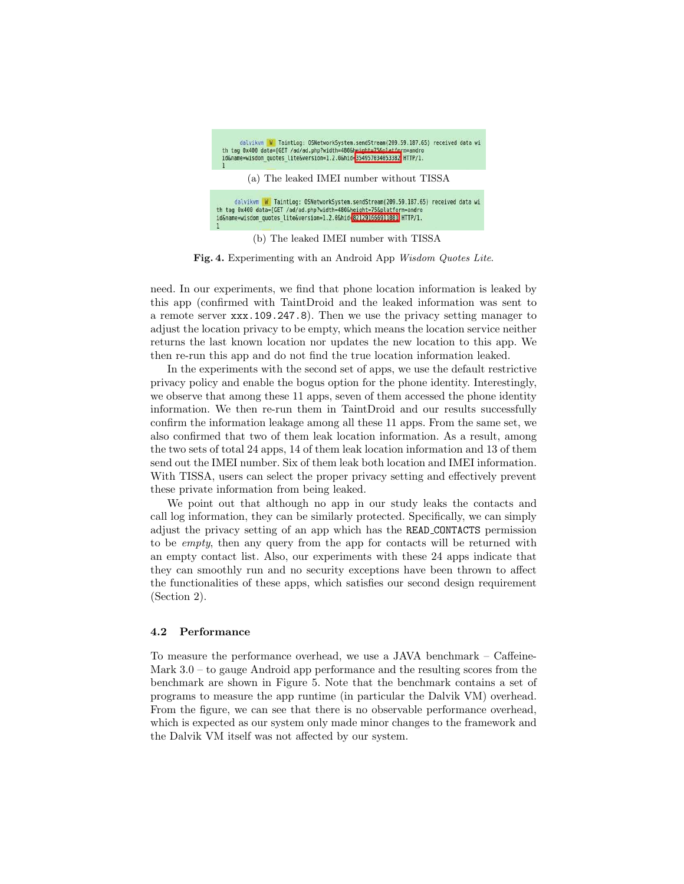

(a) The leaked IMEI number without TISSA

dalvikym W TaintLog: OSNetworkSystem.sendStream(209.59.187.65) received data wi th tag 0x400 data=[GET /ad/ad.php?width=480&height=75&platform=andro id&name=wisdom quotes lite&version=1.2.0&hid=821291666911081 HTTP/1.

(b) The leaked IMEI number with TISSA

Fig. 4. Experimenting with an Android App Wisdom Quotes Lite.

need. In our experiments, we find that phone location information is leaked by this app (confirmed with TaintDroid and the leaked information was sent to a remote server xxx.109.247.8). Then we use the privacy setting manager to adjust the location privacy to be empty, which means the location service neither returns the last known location nor updates the new location to this app. We then re-run this app and do not find the true location information leaked.

In the experiments with the second set of apps, we use the default restrictive privacy policy and enable the bogus option for the phone identity. Interestingly, we observe that among these 11 apps, seven of them accessed the phone identity information. We then re-run them in TaintDroid and our results successfully confirm the information leakage among all these 11 apps. From the same set, we also confirmed that two of them leak location information. As a result, among the two sets of total 24 apps, 14 of them leak location information and 13 of them send out the IMEI number. Six of them leak both location and IMEI information. With TISSA, users can select the proper privacy setting and effectively prevent these private information from being leaked.

We point out that although no app in our study leaks the contacts and call log information, they can be similarly protected. Specifically, we can simply adjust the privacy setting of an app which has the READ CONTACTS permission to be empty, then any query from the app for contacts will be returned with an empty contact list. Also, our experiments with these 24 apps indicate that they can smoothly run and no security exceptions have been thrown to affect the functionalities of these apps, which satisfies our second design requirement (Section 2).

#### 4.2 Performance

To measure the performance overhead, we use a JAVA benchmark – Caffeine-Mark 3.0 – to gauge Android app performance and the resulting scores from the benchmark are shown in Figure 5. Note that the benchmark contains a set of programs to measure the app runtime (in particular the Dalvik VM) overhead. From the figure, we can see that there is no observable performance overhead, which is expected as our system only made minor changes to the framework and the Dalvik VM itself was not affected by our system.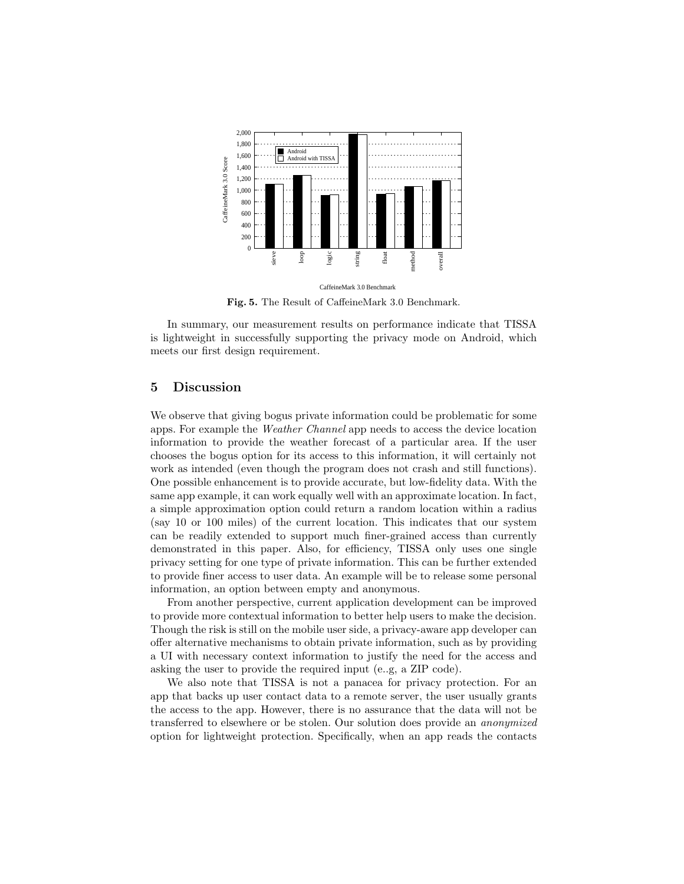

Fig. 5. The Result of CaffeineMark 3.0 Benchmark.

In summary, our measurement results on performance indicate that TISSA is lightweight in successfully supporting the privacy mode on Android, which meets our first design requirement.

## 5 Discussion

We observe that giving bogus private information could be problematic for some apps. For example the Weather Channel app needs to access the device location information to provide the weather forecast of a particular area. If the user chooses the bogus option for its access to this information, it will certainly not work as intended (even though the program does not crash and still functions). One possible enhancement is to provide accurate, but low-fidelity data. With the same app example, it can work equally well with an approximate location. In fact, a simple approximation option could return a random location within a radius (say 10 or 100 miles) of the current location. This indicates that our system can be readily extended to support much finer-grained access than currently demonstrated in this paper. Also, for efficiency, TISSA only uses one single privacy setting for one type of private information. This can be further extended to provide finer access to user data. An example will be to release some personal information, an option between empty and anonymous.

From another perspective, current application development can be improved to provide more contextual information to better help users to make the decision. Though the risk is still on the mobile user side, a privacy-aware app developer can offer alternative mechanisms to obtain private information, such as by providing a UI with necessary context information to justify the need for the access and asking the user to provide the required input (e..g, a ZIP code).

We also note that TISSA is not a panacea for privacy protection. For an app that backs up user contact data to a remote server, the user usually grants the access to the app. However, there is no assurance that the data will not be transferred to elsewhere or be stolen. Our solution does provide an anonymized option for lightweight protection. Specifically, when an app reads the contacts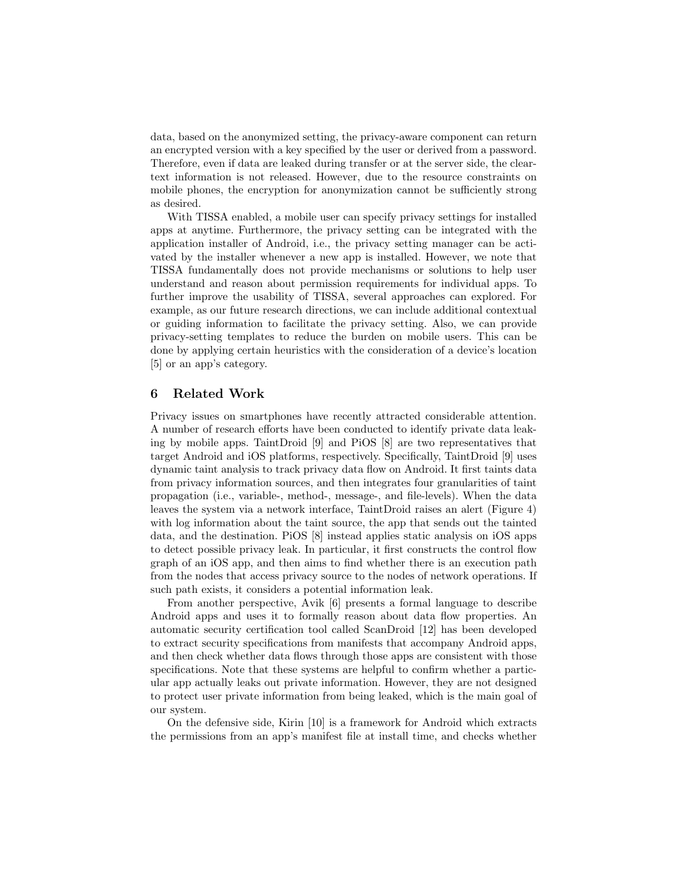data, based on the anonymized setting, the privacy-aware component can return an encrypted version with a key specified by the user or derived from a password. Therefore, even if data are leaked during transfer or at the server side, the cleartext information is not released. However, due to the resource constraints on mobile phones, the encryption for anonymization cannot be sufficiently strong as desired.

With TISSA enabled, a mobile user can specify privacy settings for installed apps at anytime. Furthermore, the privacy setting can be integrated with the application installer of Android, i.e., the privacy setting manager can be activated by the installer whenever a new app is installed. However, we note that TISSA fundamentally does not provide mechanisms or solutions to help user understand and reason about permission requirements for individual apps. To further improve the usability of TISSA, several approaches can explored. For example, as our future research directions, we can include additional contextual or guiding information to facilitate the privacy setting. Also, we can provide privacy-setting templates to reduce the burden on mobile users. This can be done by applying certain heuristics with the consideration of a device's location [5] or an app's category.

## 6 Related Work

Privacy issues on smartphones have recently attracted considerable attention. A number of research efforts have been conducted to identify private data leaking by mobile apps. TaintDroid [9] and PiOS [8] are two representatives that target Android and iOS platforms, respectively. Specifically, TaintDroid [9] uses dynamic taint analysis to track privacy data flow on Android. It first taints data from privacy information sources, and then integrates four granularities of taint propagation (i.e., variable-, method-, message-, and file-levels). When the data leaves the system via a network interface, TaintDroid raises an alert (Figure 4) with log information about the taint source, the app that sends out the tainted data, and the destination. PiOS [8] instead applies static analysis on iOS apps to detect possible privacy leak. In particular, it first constructs the control flow graph of an iOS app, and then aims to find whether there is an execution path from the nodes that access privacy source to the nodes of network operations. If such path exists, it considers a potential information leak.

From another perspective, Avik [6] presents a formal language to describe Android apps and uses it to formally reason about data flow properties. An automatic security certification tool called ScanDroid [12] has been developed to extract security specifications from manifests that accompany Android apps, and then check whether data flows through those apps are consistent with those specifications. Note that these systems are helpful to confirm whether a particular app actually leaks out private information. However, they are not designed to protect user private information from being leaked, which is the main goal of our system.

On the defensive side, Kirin [10] is a framework for Android which extracts the permissions from an app's manifest file at install time, and checks whether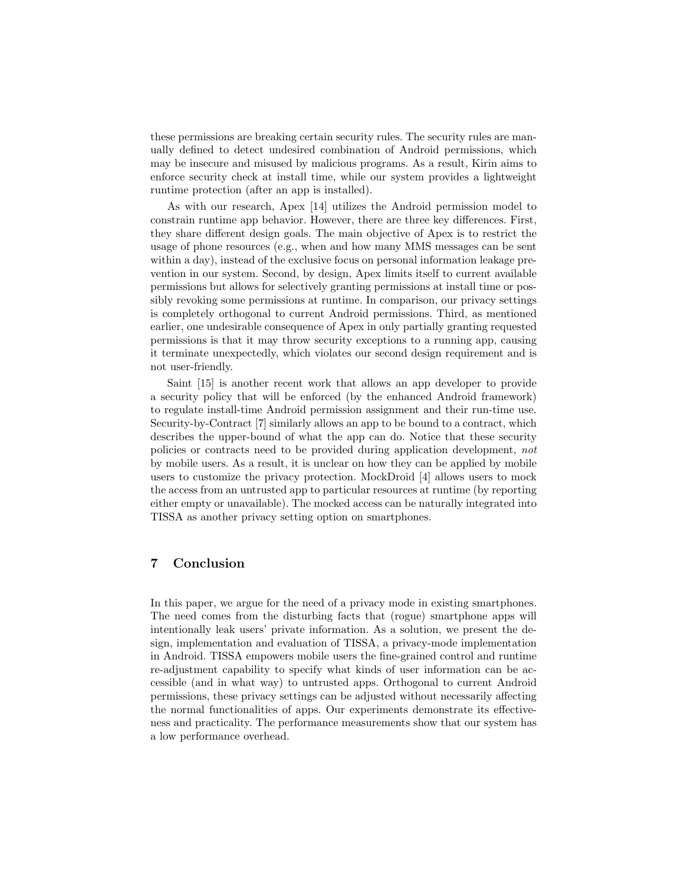these permissions are breaking certain security rules. The security rules are manually defined to detect undesired combination of Android permissions, which may be insecure and misused by malicious programs. As a result, Kirin aims to enforce security check at install time, while our system provides a lightweight runtime protection (after an app is installed).

As with our research, Apex [14] utilizes the Android permission model to constrain runtime app behavior. However, there are three key differences. First, they share different design goals. The main objective of Apex is to restrict the usage of phone resources (e.g., when and how many MMS messages can be sent within a day), instead of the exclusive focus on personal information leakage prevention in our system. Second, by design, Apex limits itself to current available permissions but allows for selectively granting permissions at install time or possibly revoking some permissions at runtime. In comparison, our privacy settings is completely orthogonal to current Android permissions. Third, as mentioned earlier, one undesirable consequence of Apex in only partially granting requested permissions is that it may throw security exceptions to a running app, causing it terminate unexpectedly, which violates our second design requirement and is not user-friendly.

Saint [15] is another recent work that allows an app developer to provide a security policy that will be enforced (by the enhanced Android framework) to regulate install-time Android permission assignment and their run-time use. Security-by-Contract [7] similarly allows an app to be bound to a contract, which describes the upper-bound of what the app can do. Notice that these security policies or contracts need to be provided during application development, not by mobile users. As a result, it is unclear on how they can be applied by mobile users to customize the privacy protection. MockDroid [4] allows users to mock the access from an untrusted app to particular resources at runtime (by reporting either empty or unavailable). The mocked access can be naturally integrated into TISSA as another privacy setting option on smartphones.

## 7 Conclusion

In this paper, we argue for the need of a privacy mode in existing smartphones. The need comes from the disturbing facts that (rogue) smartphone apps will intentionally leak users' private information. As a solution, we present the design, implementation and evaluation of TISSA, a privacy-mode implementation in Android. TISSA empowers mobile users the fine-grained control and runtime re-adjustment capability to specify what kinds of user information can be accessible (and in what way) to untrusted apps. Orthogonal to current Android permissions, these privacy settings can be adjusted without necessarily affecting the normal functionalities of apps. Our experiments demonstrate its effectiveness and practicality. The performance measurements show that our system has a low performance overhead.